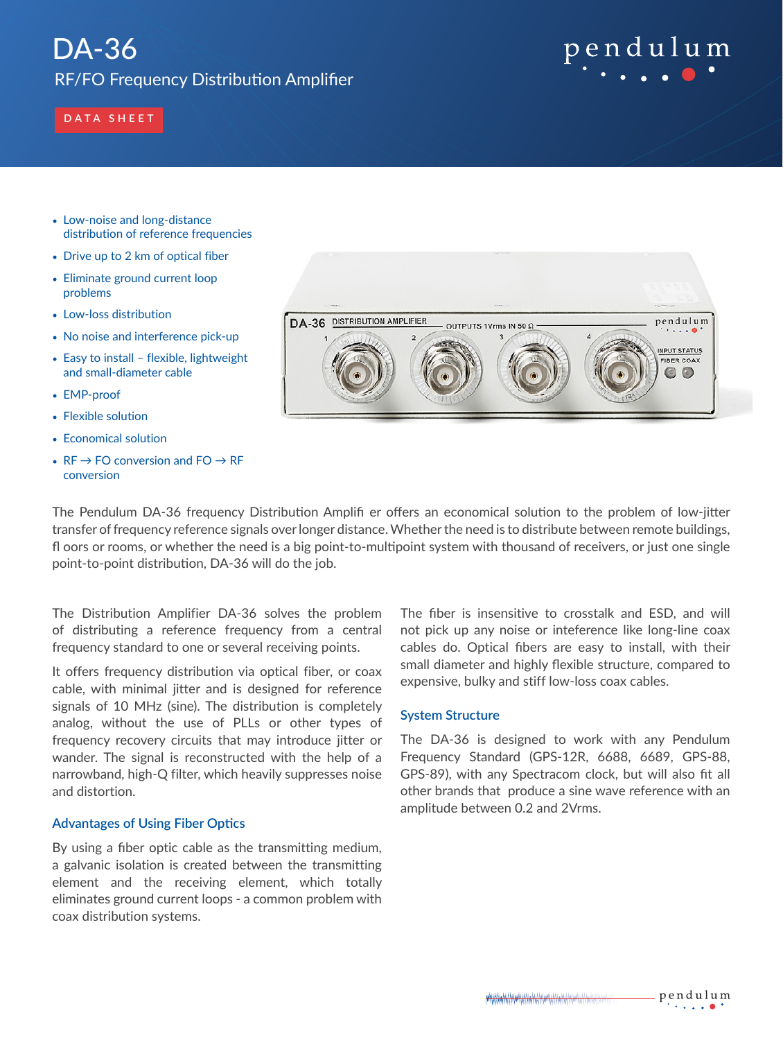# DA-36

RF/FO Frequency Distribution Amplifier

# pendulum

# **DATA SHEET**

- Low-noise and long-distance distribution of reference frequencies
- Drive up to 2 km of optical fiber
- Eliminate ground current loop problems
- Low-loss distribution
- No noise and interference pick-up
- Easy to install flexible, lightweight and small-diameter cable
- EMP-proof
- Flexible solution
- Economical solution
- $RF \rightarrow FO$  conversion and  $FO \rightarrow RF$ conversion



The Pendulum DA-36 frequency Distribution Amplifi er offers an economical solution to the problem of low-jitter transfer of frequency reference signals over longer distance. Whether the need is to distribute between remote buildings, fl oors or rooms, or whether the need is a big point-to-multipoint system with thousand of receivers, or just one single point-to-point distribution, DA-36 will do the job.

The Distribution Amplifier DA-36 solves the problem of distributing a reference frequency from a central frequency standard to one or several receiving points.

It offers frequency distribution via optical fiber, or coax cable, with minimal jitter and is designed for reference signals of 10 MHz (sine). The distribution is completely analog, without the use of PLLs or other types of frequency recovery circuits that may introduce jitter or wander. The signal is reconstructed with the help of a narrowband, high-Q filter, which heavily suppresses noise and distortion.

# **Advantages of Using Fiber Optics**

By using a fiber optic cable as the transmitting medium, a galvanic isolation is created between the transmitting element and the receiving element, which totally eliminates ground current loops - a common problem with coax distribution systems.

The fiber is insensitive to crosstalk and ESD, and will not pick up any noise or inteference like long-line coax cables do. Optical fibers are easy to install, with their small diameter and highly flexible structure, compared to expensive, bulky and stiff low-loss coax cables.

## **System Structure**

The DA-36 is designed to work with any Pendulum Frequency Standard (GPS-12R, 6688, 6689, GPS-88, GPS-89), with any Spectracom clock, but will also fit all other brands that produce a sine wave reference with an amplitude between 0.2 and 2Vrms.